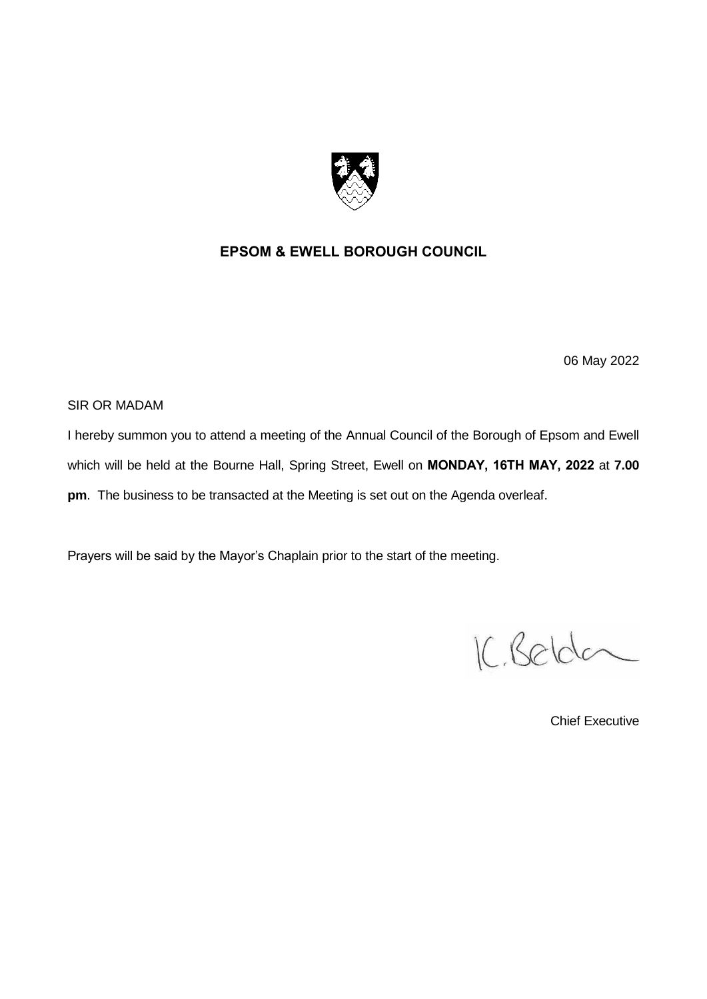

#### **EPSOM & EWELL BOROUGH COUNCIL**

06 May 2022

SIR OR MADAM

I hereby summon you to attend a meeting of the Annual Council of the Borough of Epsom and Ewell which will be held at the Bourne Hall, Spring Street, Ewell on **MONDAY, 16TH MAY, 2022** at **7.00 pm**. The business to be transacted at the Meeting is set out on the Agenda overleaf.

Prayers will be said by the Mayor's Chaplain prior to the start of the meeting.

IC, Belder

Chief Executive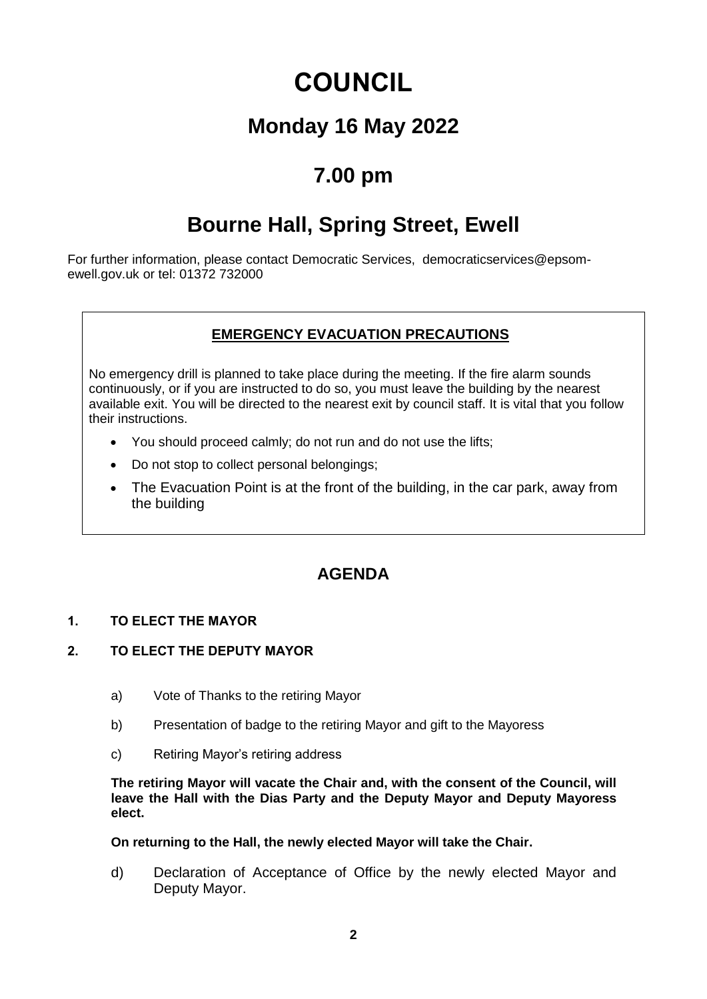# **COUNCIL**

### **Monday 16 May 2022**

### **7.00 pm**

## **Bourne Hall, Spring Street, Ewell**

For further information, please contact Democratic Services, democraticservices@epsomewell.gov.uk or tel: 01372 732000

#### **EMERGENCY EVACUATION PRECAUTIONS**

No emergency drill is planned to take place during the meeting. If the fire alarm sounds continuously, or if you are instructed to do so, you must leave the building by the nearest available exit. You will be directed to the nearest exit by council staff. It is vital that you follow their instructions.

- You should proceed calmly; do not run and do not use the lifts;
- Do not stop to collect personal belongings;
- The Evacuation Point is at the front of the building, in the car park, away from the building

### **AGENDA**

#### **1. TO ELECT THE MAYOR**

#### **2. TO ELECT THE DEPUTY MAYOR**

- a) Vote of Thanks to the retiring Mayor
- b) Presentation of badge to the retiring Mayor and gift to the Mayoress
- c) Retiring Mayor's retiring address

**The retiring Mayor will vacate the Chair and, with the consent of the Council, will leave the Hall with the Dias Party and the Deputy Mayor and Deputy Mayoress elect.**

#### **On returning to the Hall, the newly elected Mayor will take the Chair.**

d) Declaration of Acceptance of Office by the newly elected Mayor and Deputy Mayor.